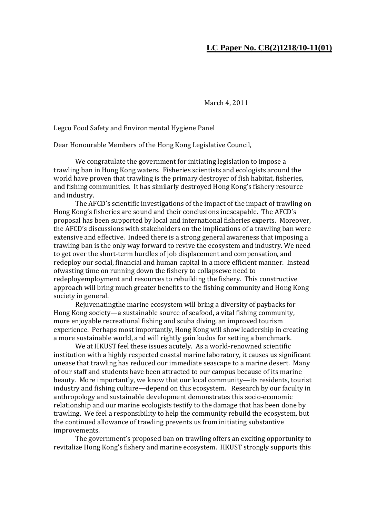## **LC Paper No. CB(2)1218/10-11(01)**

March 4, 2011

Legco Food Safety and Environmental Hygiene Panel

Dear Honourable Members of the Hong Kong Legislative Council,

We congratulate the government for initiating legislation to impose a trawling ban in Hong Kong waters. Fisheries scientists and ecologists around the world have proven that trawling is the primary destroyer of fish habitat, fisheries, and fishing communities. It has similarly destroyed Hong Kong's fishery resource and industry.

 The AFCD's scientific investigations of the impact of the impact of trawling on Hong Kong's fisheries are sound and their conclusions inescapable. The AFCD's proposal has been supported by local and international fisheries experts. Moreover, the AFCD's discussions with stakeholders on the implications of a trawling ban were extensive and effective. Indeed there is a strong general awareness that imposing a trawling ban is the only way forward to revive the ecosystem and industry. We need to get over the short-term hurdles of job displacement and compensation, and redeploy our social, financial and human capital in a more efficient manner. Instead ofwasting time on running down the fishery to collapsewe need to redeployemployment and resources to rebuilding the fishery. This constructive approach will bring much greater benefits to the fishing community and Hong Kong society in general.

 Rejuvenatingthe marine ecosystem will bring a diversity of paybacks for Hong Kong society—a sustainable source of seafood, a vital fishing community, more enjoyable recreational fishing and scuba diving, an improved tourism experience. Perhaps most importantly, Hong Kong will show leadership in creating a more sustainable world, and will rightly gain kudos for setting a benchmark.

 We at HKUST feel these issues acutely. As a world-renowned scientific institution with a highly respected coastal marine laboratory, it causes us significant unease that trawling has reduced our immediate seascape to a marine desert. Many of our staff and students have been attracted to our campus because of its marine beauty. More importantly, we know that our local community—its residents, tourist industry and fishing culture—depend on this ecosystem. Research by our faculty in anthropology and sustainable development demonstrates this socio-economic relationship and our marine ecologists testify to the damage that has been done by trawling. We feel a responsibility to help the community rebuild the ecosystem, but the continued allowance of trawling prevents us from initiating substantive improvements.

 The government's proposed ban on trawling offers an exciting opportunity to revitalize Hong Kong's fishery and marine ecosystem. HKUST strongly supports this